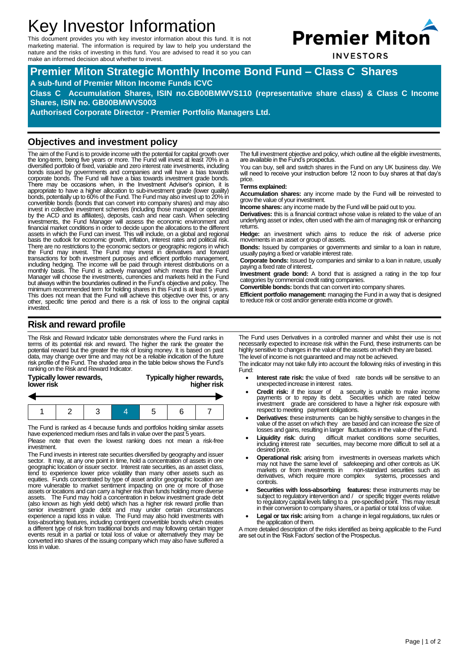# Key Investor Information

This document provides you with key investor information about this fund. It is not marketing material. The information is required by law to help you understand the nature and the risks of investing in this fund. You are advised to read it so you can make an informed decision about whether to invest.



**INVESTORS** 

**Premier Miton Strategic Monthly Income Bond Fund – Class C Shares A sub-fund of Premier Miton Income Funds ICVC Class C Accumulation Shares, ISIN no.GB00BMWVS110 (representative share class) & Class C Income Shares, ISIN no. GB00BMWVS003** 

**Authorised Corporate Director - Premier Portfolio Managers Ltd.**

# **Objectives and investment policy**

The aim of the Fund is to provide income with the potential for capital growth over the long-term, being five years or more. The Fund will invest at least 70% in a diversified portfolio of fixed, variable and zero interest rate investments, including bonds issued by governments and companies and will have a bias towards corporate bonds. The Fund will have a bias towards investment grade bonds. There may be occasions when, in the Investment Adviser's opinion, it is appropriate to have a higher allocation to sub-investment grade (lower quality) bonds, potentially up to 60% of the Fund. The Fund may also invest up to 20% in convertible bonds (bonds that can convert into company shares) and may also invest in collective investment schemes (including those managed or operated by the ACD and its affiliates), deposits, cash and near cash. When selecting investments, the Fund Manager will assess the economic environment and financial market conditions in order to decide upon the allocations to the different assets in which the Fund can invest. This will include, on a global and regional basis the outlook for economic growth, inflation, interest rates and political risk. There are no restrictions to the economic sectors or geographic regions in which<br>the Fund may invest. The Fund may invest in derivatives and forward<br>transactions for both investment purposes and efficient portfolio managem minimum recommended term for holding shares in this Fund is at least 5 years. This does not mean that the Fund will achieve this objective over this, or any other, specific time period and there is a risk of loss to the original capital invested.

# **Risk and reward profile**

The Risk and Reward Indicator table demonstrates where the Fund ranks in terms of its potential risk and reward. The higher the rank the greater the<br>potential reward but the greater the risk of losing money. It is based on past<br>data, may change over time and may not be a reliable indication of risk profile of the Fund. The shaded area in the table below shows the Fund's ranking on the Risk and Reward Indicator.

| Typically lower rewards, | Typically higher rewards, |
|--------------------------|---------------------------|
| lower risk               | higher risk               |

The Fund is ranked as 4 because funds and portfolios holding similar assets have experienced medium rises and falls in value over the past 5 years.

Please note that even the lowest ranking does not mean a risk-free investment.

The Fund invests in interest rate securities diversified by geography and issuer sector. It may, at any one point in time, hold a concentration of assets in one<br>geographic location or issuer sector. Interest rate securities, as an asset class,<br>tend to experience lower price volatility than many other a more vulnerable to market sentiment impacting on one or more of those<br>assets or locations and can carry a higher risk than funds holding more diverse<br>assets. The Fund may hold a concentration in below investment grade debt senior investment grade debt and may under certain circumstances<br>experience a rapid loss in value. The Fund may also hold investments with<br>loss-absorbing features, including contingent convertible bonds which creates<br>a dif converted into shares of the issuing company which may also have suffered a loss in value.

The full investment objective and policy, which outline all the eligible investments, are available in the Fund's prospectus.

You can buy, sell and switch shares in the Fund on any UK business day. We will need to receive your instruction before 12 noon to buy shares at that day's price.

### **Terms explained:**

**Accumulation shares:** any income made by the Fund will be reinvested to grow the value of your investment.

**Income shares:** any income made by the Fund will be paid out to you.

**Derivatives:** this is a financial contract whose value is related to the value of an underlying asset or index, often used with the aim of managing risk or enhancing returns.

**Hedge:** an investment which aims to reduce the risk of adverse price movements in an asset or group of assets.

**Bonds:** Issued by companies or governments and similar to a loan in nature, usually paying a fixed or variable interest rate.

**Corporate bonds:** Issued by companies and similar to a loan in nature, usually paying a fixed rate of interest.

**Investment grade bond:** A bond that is assigned a rating in the top four categories by commercial credit rating companies.

**Convertible bonds:** bonds that can convert into company shares.

**Efficient portfolio management:** managing the Fund in a way that is designed to reduce risk or cost and/or generate extra income or growth.

The Fund uses Derivatives in a controlled manner and whilst their use is not necessarily expected to increase risk within the Fund, these instruments can be highly sensitive to changes in the value of the assets on which they are based. The level of income is not guaranteed and may not be achieved.

The indicator may not take fully into account the following risks of investing in this Fund:

- **Interest rate risk:** the value of fixed rate bonds will be sensitive to an unexpected increase in interest rates.
- **Credit risk:** if the issuer of a security is unable to make income payments or to repay its debt. Securities which are rated below investment grade are considered to have a higher risk exposure with respect to meeting payment obligations.
- **Derivatives**: these instruments can be highly sensitive to changes in the value of the asset on which they are based and can increase the size of losses and gains, resulting in larger fluctuations in the value of the Fund.
- **Liquidity risk**: during difficult market conditions some securities, including interest rate securities, may become more difficult to sell at a desired price.
- **Operational risk**: arising from investments in overseas markets which may not have the same level of safekeeping and other controls as UK markets or from investments in non-standard securities such as<br>derivatives, which require more complex systems, processes and derivatives, which require more complex controls.
- **Securities with loss-absorbing features:** these instruments may be subject to regulatory intervention and / or specific trigger events relative<br>to regulatory capital levels falling to a pre-specified point. This may result<br>in their conversion to company shares, or a partial or total loss
- Legal or tax risk: arising from a change in legal regulations, tax rules or the application of them.

A more detailed description of the risks identified as being applicable to the Fund are set out in the 'Risk Factors' section of the Prospectus.